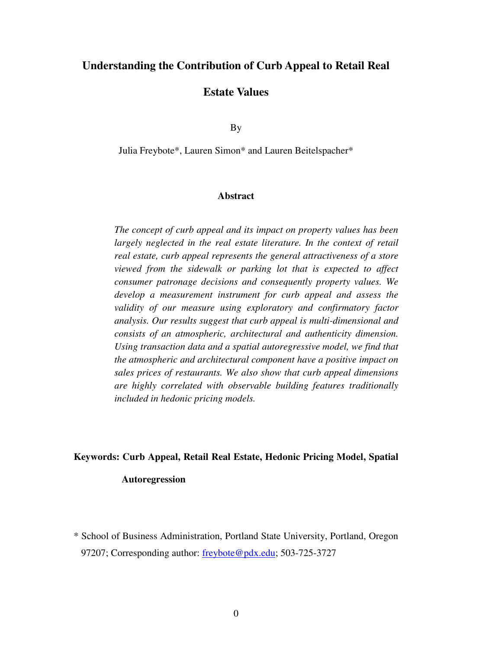# **Understanding the Contribution of Curb Appeal to Retail Real**

## **Estate Values**

By

Julia Freybote\*, Lauren Simon\* and Lauren Beitelspacher\*

#### **Abstract**

*The concept of curb appeal and its impact on property values has been largely neglected in the real estate literature. In the context of retail real estate, curb appeal represents the general attractiveness of a store viewed from the sidewalk or parking lot that is expected to affect consumer patronage decisions and consequently property values. We develop a measurement instrument for curb appeal and assess the validity of our measure using exploratory and confirmatory factor analysis. Our results suggest that curb appeal is multi-dimensional and consists of an atmospheric, architectural and authenticity dimension. Using transaction data and a spatial autoregressive model, we find that the atmospheric and architectural component have a positive impact on sales prices of restaurants. We also show that curb appeal dimensions are highly correlated with observable building features traditionally included in hedonic pricing models.* 

#### **Keywords: Curb Appeal, Retail Real Estate, Hedonic Pricing Model, Spatial**

## **Autoregression**

\* School of Business Administration, Portland State University, Portland, Oregon 97207; Corresponding author: freybote@pdx.edu; 503-725-3727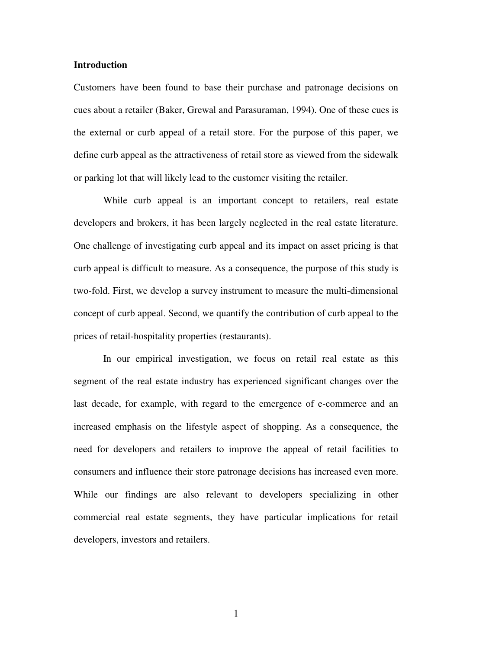### **Introduction**

Customers have been found to base their purchase and patronage decisions on cues about a retailer (Baker, Grewal and Parasuraman, 1994). One of these cues is the external or curb appeal of a retail store. For the purpose of this paper, we define curb appeal as the attractiveness of retail store as viewed from the sidewalk or parking lot that will likely lead to the customer visiting the retailer.

 While curb appeal is an important concept to retailers, real estate developers and brokers, it has been largely neglected in the real estate literature. One challenge of investigating curb appeal and its impact on asset pricing is that curb appeal is difficult to measure. As a consequence, the purpose of this study is two-fold. First, we develop a survey instrument to measure the multi-dimensional concept of curb appeal. Second, we quantify the contribution of curb appeal to the prices of retail-hospitality properties (restaurants).

 In our empirical investigation, we focus on retail real estate as this segment of the real estate industry has experienced significant changes over the last decade, for example, with regard to the emergence of e-commerce and an increased emphasis on the lifestyle aspect of shopping. As a consequence, the need for developers and retailers to improve the appeal of retail facilities to consumers and influence their store patronage decisions has increased even more. While our findings are also relevant to developers specializing in other commercial real estate segments, they have particular implications for retail developers, investors and retailers.

1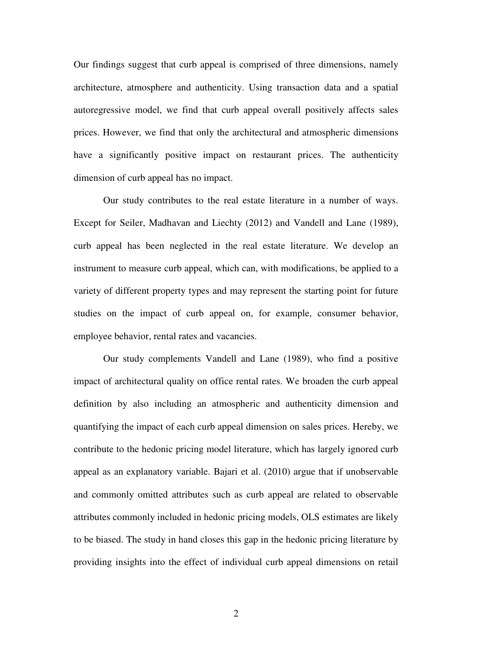Our findings suggest that curb appeal is comprised of three dimensions, namely architecture, atmosphere and authenticity. Using transaction data and a spatial autoregressive model, we find that curb appeal overall positively affects sales prices. However, we find that only the architectural and atmospheric dimensions have a significantly positive impact on restaurant prices. The authenticity dimension of curb appeal has no impact.

 Our study contributes to the real estate literature in a number of ways. Except for Seiler, Madhavan and Liechty (2012) and Vandell and Lane (1989), curb appeal has been neglected in the real estate literature. We develop an instrument to measure curb appeal, which can, with modifications, be applied to a variety of different property types and may represent the starting point for future studies on the impact of curb appeal on, for example, consumer behavior, employee behavior, rental rates and vacancies.

Our study complements Vandell and Lane (1989), who find a positive impact of architectural quality on office rental rates. We broaden the curb appeal definition by also including an atmospheric and authenticity dimension and quantifying the impact of each curb appeal dimension on sales prices. Hereby, we contribute to the hedonic pricing model literature, which has largely ignored curb appeal as an explanatory variable. Bajari et al. (2010) argue that if unobservable and commonly omitted attributes such as curb appeal are related to observable attributes commonly included in hedonic pricing models, OLS estimates are likely to be biased. The study in hand closes this gap in the hedonic pricing literature by providing insights into the effect of individual curb appeal dimensions on retail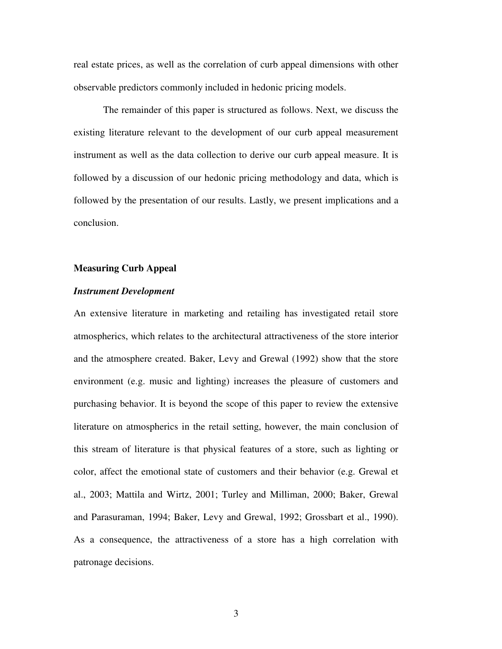real estate prices, as well as the correlation of curb appeal dimensions with other observable predictors commonly included in hedonic pricing models.

The remainder of this paper is structured as follows. Next, we discuss the existing literature relevant to the development of our curb appeal measurement instrument as well as the data collection to derive our curb appeal measure. It is followed by a discussion of our hedonic pricing methodology and data, which is followed by the presentation of our results. Lastly, we present implications and a conclusion.

#### **Measuring Curb Appeal**

#### *Instrument Development*

An extensive literature in marketing and retailing has investigated retail store atmospherics, which relates to the architectural attractiveness of the store interior and the atmosphere created. Baker, Levy and Grewal (1992) show that the store environment (e.g. music and lighting) increases the pleasure of customers and purchasing behavior. It is beyond the scope of this paper to review the extensive literature on atmospherics in the retail setting, however, the main conclusion of this stream of literature is that physical features of a store, such as lighting or color, affect the emotional state of customers and their behavior (e.g. Grewal et al., 2003; Mattila and Wirtz, 2001; Turley and Milliman, 2000; Baker, Grewal and Parasuraman, 1994; Baker, Levy and Grewal, 1992; Grossbart et al., 1990). As a consequence, the attractiveness of a store has a high correlation with patronage decisions.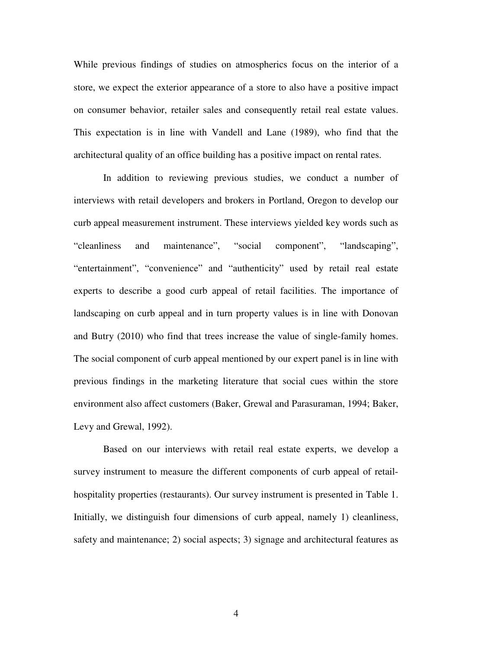While previous findings of studies on atmospherics focus on the interior of a store, we expect the exterior appearance of a store to also have a positive impact on consumer behavior, retailer sales and consequently retail real estate values. This expectation is in line with Vandell and Lane (1989), who find that the architectural quality of an office building has a positive impact on rental rates.

In addition to reviewing previous studies, we conduct a number of interviews with retail developers and brokers in Portland, Oregon to develop our curb appeal measurement instrument. These interviews yielded key words such as "cleanliness and maintenance", "social component", "landscaping", "entertainment", "convenience" and "authenticity" used by retail real estate experts to describe a good curb appeal of retail facilities. The importance of landscaping on curb appeal and in turn property values is in line with Donovan and Butry (2010) who find that trees increase the value of single-family homes. The social component of curb appeal mentioned by our expert panel is in line with previous findings in the marketing literature that social cues within the store environment also affect customers (Baker, Grewal and Parasuraman, 1994; Baker, Levy and Grewal, 1992).

Based on our interviews with retail real estate experts, we develop a survey instrument to measure the different components of curb appeal of retailhospitality properties (restaurants). Our survey instrument is presented in Table 1. Initially, we distinguish four dimensions of curb appeal, namely 1) cleanliness, safety and maintenance; 2) social aspects; 3) signage and architectural features as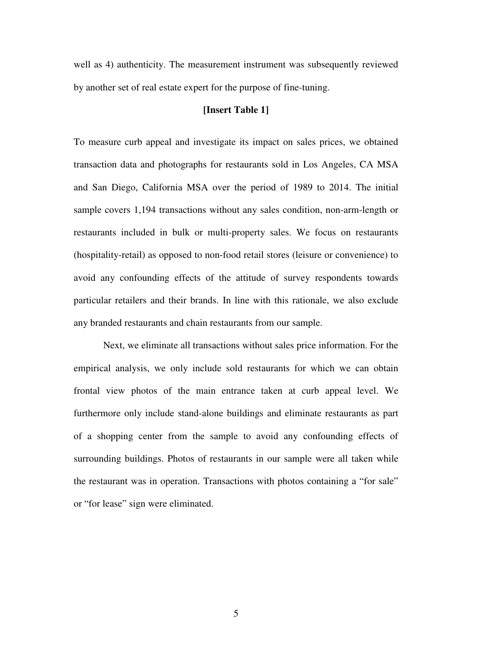well as 4) authenticity. The measurement instrument was subsequently reviewed by another set of real estate expert for the purpose of fine-tuning.

## **[Insert Table 1]**

To measure curb appeal and investigate its impact on sales prices, we obtained transaction data and photographs for restaurants sold in Los Angeles, CA MSA and San Diego, California MSA over the period of 1989 to 2014. The initial sample covers 1,194 transactions without any sales condition, non-arm-length or restaurants included in bulk or multi-property sales. We focus on restaurants (hospitality-retail) as opposed to non-food retail stores (leisure or convenience) to avoid any confounding effects of the attitude of survey respondents towards particular retailers and their brands. In line with this rationale, we also exclude any branded restaurants and chain restaurants from our sample.

Next, we eliminate all transactions without sales price information. For the empirical analysis, we only include sold restaurants for which we can obtain frontal view photos of the main entrance taken at curb appeal level. We furthermore only include stand-alone buildings and eliminate restaurants as part of a shopping center from the sample to avoid any confounding effects of surrounding buildings. Photos of restaurants in our sample were all taken while the restaurant was in operation. Transactions with photos containing a "for sale" or "for lease" sign were eliminated.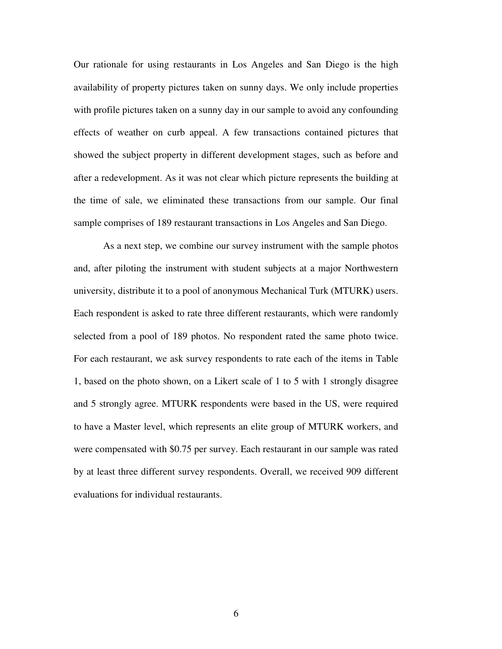Our rationale for using restaurants in Los Angeles and San Diego is the high availability of property pictures taken on sunny days. We only include properties with profile pictures taken on a sunny day in our sample to avoid any confounding effects of weather on curb appeal. A few transactions contained pictures that showed the subject property in different development stages, such as before and after a redevelopment. As it was not clear which picture represents the building at the time of sale, we eliminated these transactions from our sample. Our final sample comprises of 189 restaurant transactions in Los Angeles and San Diego.

 As a next step, we combine our survey instrument with the sample photos and, after piloting the instrument with student subjects at a major Northwestern university, distribute it to a pool of anonymous Mechanical Turk (MTURK) users. Each respondent is asked to rate three different restaurants, which were randomly selected from a pool of 189 photos. No respondent rated the same photo twice. For each restaurant, we ask survey respondents to rate each of the items in Table 1, based on the photo shown, on a Likert scale of 1 to 5 with 1 strongly disagree and 5 strongly agree. MTURK respondents were based in the US, were required to have a Master level, which represents an elite group of MTURK workers, and were compensated with \$0.75 per survey. Each restaurant in our sample was rated by at least three different survey respondents. Overall, we received 909 different evaluations for individual restaurants.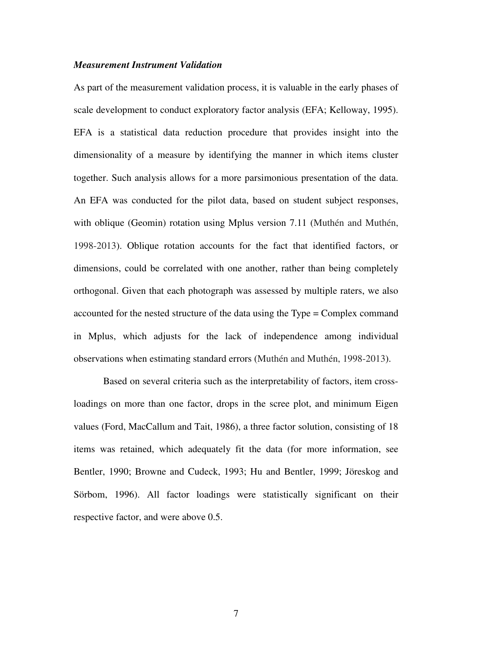### *Measurement Instrument Validation*

As part of the measurement validation process, it is valuable in the early phases of scale development to conduct exploratory factor analysis (EFA; Kelloway, 1995). EFA is a statistical data reduction procedure that provides insight into the dimensionality of a measure by identifying the manner in which items cluster together. Such analysis allows for a more parsimonious presentation of the data. An EFA was conducted for the pilot data, based on student subject responses, with oblique (Geomin) rotation using Mplus version 7.11 (Muthén and Muthén, 1998-2013). Oblique rotation accounts for the fact that identified factors, or dimensions, could be correlated with one another, rather than being completely orthogonal. Given that each photograph was assessed by multiple raters, we also accounted for the nested structure of the data using the Type = Complex command in Mplus, which adjusts for the lack of independence among individual observations when estimating standard errors (Muthén and Muthén, 1998-2013).

Based on several criteria such as the interpretability of factors, item crossloadings on more than one factor, drops in the scree plot, and minimum Eigen values (Ford, MacCallum and Tait, 1986), a three factor solution, consisting of 18 items was retained, which adequately fit the data (for more information, see Bentler, 1990; Browne and Cudeck, 1993; Hu and Bentler, 1999; Jöreskog and Sörbom, 1996). All factor loadings were statistically significant on their respective factor, and were above 0.5.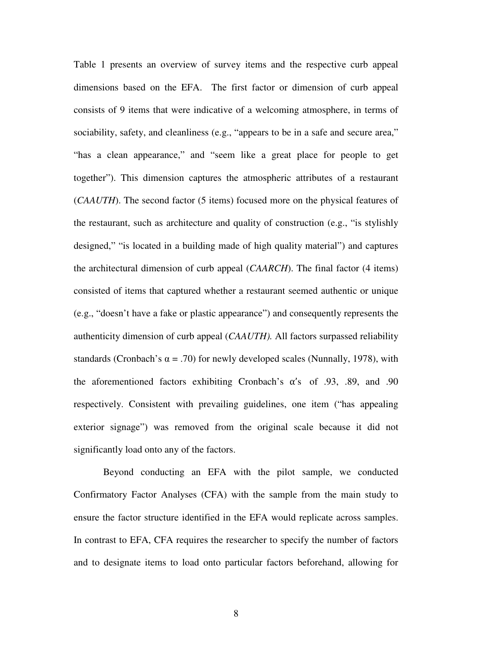Table 1 presents an overview of survey items and the respective curb appeal dimensions based on the EFA. The first factor or dimension of curb appeal consists of 9 items that were indicative of a welcoming atmosphere, in terms of sociability, safety, and cleanliness (e.g., "appears to be in a safe and secure area," "has a clean appearance," and "seem like a great place for people to get together"). This dimension captures the atmospheric attributes of a restaurant (*CAAUTH*). The second factor (5 items) focused more on the physical features of the restaurant, such as architecture and quality of construction (e.g., "is stylishly designed," "is located in a building made of high quality material") and captures the architectural dimension of curb appeal (*CAARCH*). The final factor (4 items) consisted of items that captured whether a restaurant seemed authentic or unique (e.g., "doesn't have a fake or plastic appearance") and consequently represents the authenticity dimension of curb appeal (*CAAUTH).* All factors surpassed reliability standards (Cronbach's  $\alpha$  = .70) for newly developed scales (Nunnally, 1978), with the aforementioned factors exhibiting Cronbach's  $\alpha$ 's of .93, .89, and .90 respectively. Consistent with prevailing guidelines, one item ("has appealing exterior signage") was removed from the original scale because it did not significantly load onto any of the factors.

Beyond conducting an EFA with the pilot sample, we conducted Confirmatory Factor Analyses (CFA) with the sample from the main study to ensure the factor structure identified in the EFA would replicate across samples. In contrast to EFA, CFA requires the researcher to specify the number of factors and to designate items to load onto particular factors beforehand, allowing for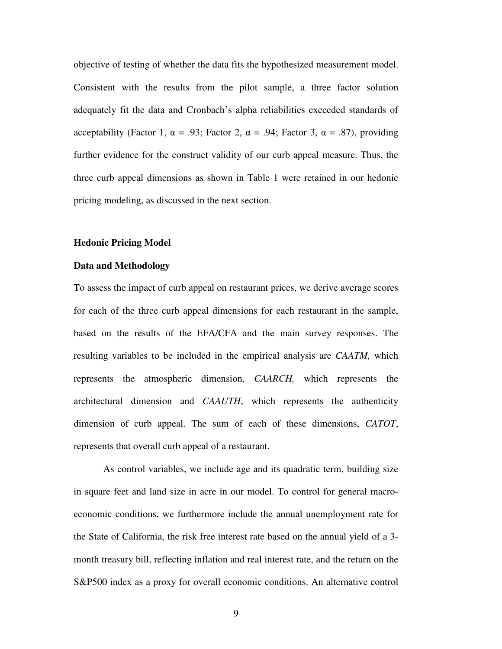objective of testing of whether the data fits the hypothesized measurement model. Consistent with the results from the pilot sample, a three factor solution adequately fit the data and Cronbach's alpha reliabilities exceeded standards of acceptability (Factor 1, α = .93; Factor 2, α = .94; Factor 3, α = .87), providing further evidence for the construct validity of our curb appeal measure. Thus, the three curb appeal dimensions as shown in Table 1 were retained in our hedonic pricing modeling, as discussed in the next section.

#### **Hedonic Pricing Model**

## **Data and Methodology**

To assess the impact of curb appeal on restaurant prices, we derive average scores for each of the three curb appeal dimensions for each restaurant in the sample, based on the results of the EFA/CFA and the main survey responses. The resulting variables to be included in the empirical analysis are *CAATM,* which represents the atmospheric dimension, *CAARCH,* which represents the architectural dimension and *CAAUTH*, which represents the authenticity dimension of curb appeal. The sum of each of these dimensions, *CATOT*, represents that overall curb appeal of a restaurant.

As control variables, we include age and its quadratic term, building size in square feet and land size in acre in our model. To control for general macroeconomic conditions, we furthermore include the annual unemployment rate for the State of California, the risk free interest rate based on the annual yield of a 3 month treasury bill, reflecting inflation and real interest rate, and the return on the S&P500 index as a proxy for overall economic conditions. An alternative control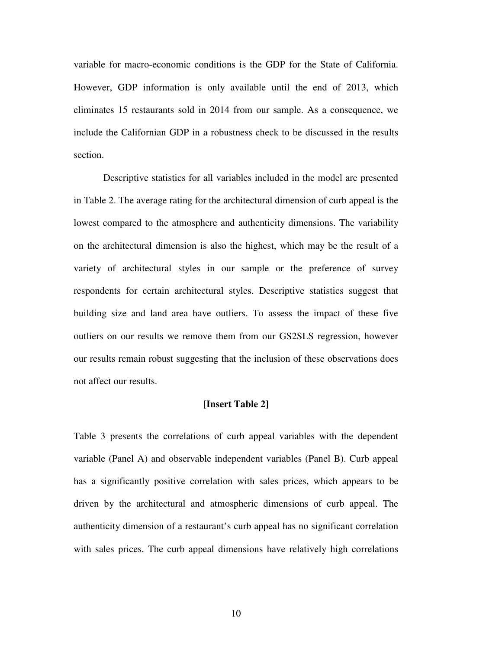variable for macro-economic conditions is the GDP for the State of California. However, GDP information is only available until the end of 2013, which eliminates 15 restaurants sold in 2014 from our sample. As a consequence, we include the Californian GDP in a robustness check to be discussed in the results section.

Descriptive statistics for all variables included in the model are presented in Table 2. The average rating for the architectural dimension of curb appeal is the lowest compared to the atmosphere and authenticity dimensions. The variability on the architectural dimension is also the highest, which may be the result of a variety of architectural styles in our sample or the preference of survey respondents for certain architectural styles. Descriptive statistics suggest that building size and land area have outliers. To assess the impact of these five outliers on our results we remove them from our GS2SLS regression, however our results remain robust suggesting that the inclusion of these observations does not affect our results.

#### **[Insert Table 2]**

Table 3 presents the correlations of curb appeal variables with the dependent variable (Panel A) and observable independent variables (Panel B). Curb appeal has a significantly positive correlation with sales prices, which appears to be driven by the architectural and atmospheric dimensions of curb appeal. The authenticity dimension of a restaurant's curb appeal has no significant correlation with sales prices. The curb appeal dimensions have relatively high correlations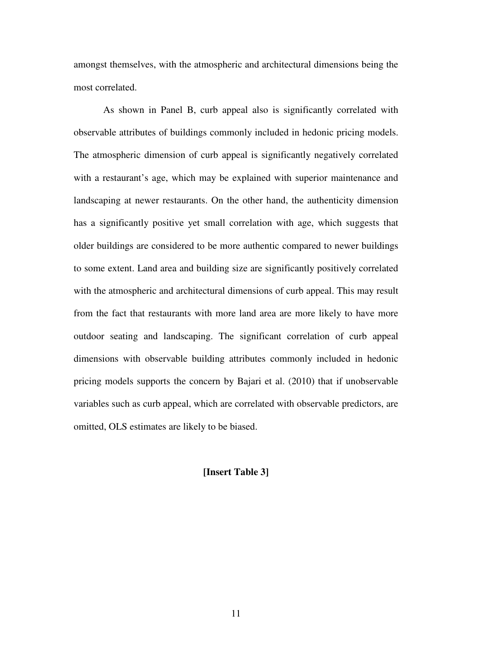amongst themselves, with the atmospheric and architectural dimensions being the most correlated.

As shown in Panel B, curb appeal also is significantly correlated with observable attributes of buildings commonly included in hedonic pricing models. The atmospheric dimension of curb appeal is significantly negatively correlated with a restaurant's age, which may be explained with superior maintenance and landscaping at newer restaurants. On the other hand, the authenticity dimension has a significantly positive yet small correlation with age, which suggests that older buildings are considered to be more authentic compared to newer buildings to some extent. Land area and building size are significantly positively correlated with the atmospheric and architectural dimensions of curb appeal. This may result from the fact that restaurants with more land area are more likely to have more outdoor seating and landscaping. The significant correlation of curb appeal dimensions with observable building attributes commonly included in hedonic pricing models supports the concern by Bajari et al. (2010) that if unobservable variables such as curb appeal, which are correlated with observable predictors, are omitted, OLS estimates are likely to be biased.

## **[Insert Table 3]**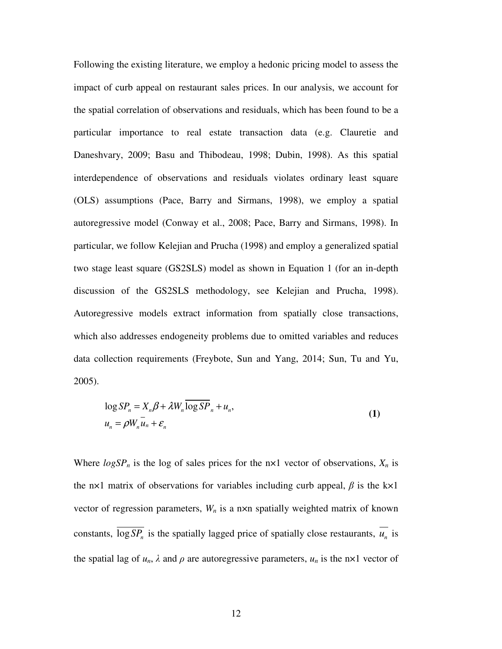Following the existing literature, we employ a hedonic pricing model to assess the impact of curb appeal on restaurant sales prices. In our analysis, we account for the spatial correlation of observations and residuals, which has been found to be a particular importance to real estate transaction data (e.g. Clauretie and Daneshvary, 2009; Basu and Thibodeau, 1998; Dubin, 1998). As this spatial interdependence of observations and residuals violates ordinary least square (OLS) assumptions (Pace, Barry and Sirmans, 1998), we employ a spatial autoregressive model (Conway et al., 2008; Pace, Barry and Sirmans, 1998). In particular, we follow Kelejian and Prucha (1998) and employ a generalized spatial two stage least square (GS2SLS) model as shown in Equation 1 (for an in-depth discussion of the GS2SLS methodology, see Kelejian and Prucha, 1998). Autoregressive models extract information from spatially close transactions, which also addresses endogeneity problems due to omitted variables and reduces data collection requirements (Freybote, Sun and Yang, 2014; Sun, Tu and Yu, 2005).

$$
\log SP_n = X_n \beta + \lambda W_n \overline{\log SP}_n + u_n,
$$
  
\n
$$
u_n = \rho W_n \overline{u}_n + \varepsilon_n
$$
\n(1)

Where  $logSP_n$  is the log of sales prices for the  $nx1$  vector of observations,  $X_n$  is the n×1 matrix of observations for variables including curb appeal,  $\beta$  is the k×1 vector of regression parameters,  $W_n$  is a n×n spatially weighted matrix of known constants,  $\log SP_n$  is the spatially lagged price of spatially close restaurants,  $u_n$  is the spatial lag of  $u_n$ ,  $\lambda$  and  $\rho$  are autoregressive parameters,  $u_n$  is the n×1 vector of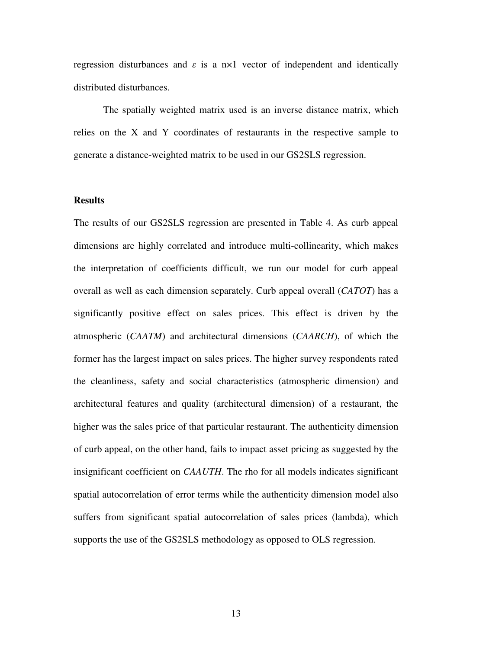regression disturbances and  $\varepsilon$  is a n×1 vector of independent and identically distributed disturbances.

The spatially weighted matrix used is an inverse distance matrix, which relies on the X and Y coordinates of restaurants in the respective sample to generate a distance-weighted matrix to be used in our GS2SLS regression.

## **Results**

The results of our GS2SLS regression are presented in Table 4. As curb appeal dimensions are highly correlated and introduce multi-collinearity, which makes the interpretation of coefficients difficult, we run our model for curb appeal overall as well as each dimension separately. Curb appeal overall (*CATOT*) has a significantly positive effect on sales prices. This effect is driven by the atmospheric (*CAATM*) and architectural dimensions (*CAARCH*), of which the former has the largest impact on sales prices. The higher survey respondents rated the cleanliness, safety and social characteristics (atmospheric dimension) and architectural features and quality (architectural dimension) of a restaurant, the higher was the sales price of that particular restaurant. The authenticity dimension of curb appeal, on the other hand, fails to impact asset pricing as suggested by the insignificant coefficient on *CAAUTH*. The rho for all models indicates significant spatial autocorrelation of error terms while the authenticity dimension model also suffers from significant spatial autocorrelation of sales prices (lambda), which supports the use of the GS2SLS methodology as opposed to OLS regression.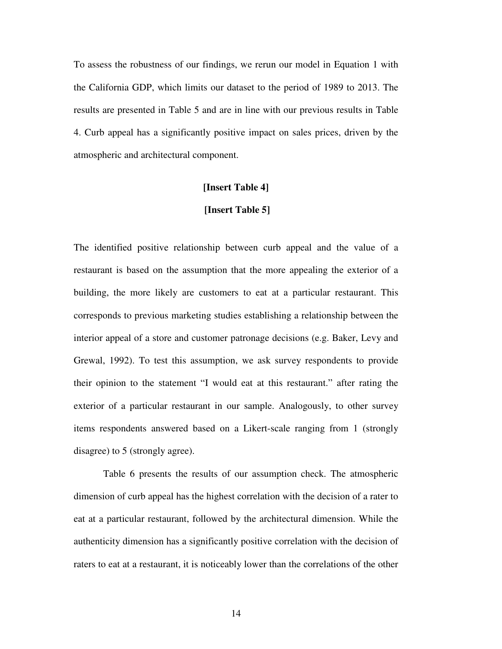To assess the robustness of our findings, we rerun our model in Equation 1 with the California GDP, which limits our dataset to the period of 1989 to 2013. The results are presented in Table 5 and are in line with our previous results in Table 4. Curb appeal has a significantly positive impact on sales prices, driven by the atmospheric and architectural component.

#### **[Insert Table 4]**

#### **[Insert Table 5]**

The identified positive relationship between curb appeal and the value of a restaurant is based on the assumption that the more appealing the exterior of a building, the more likely are customers to eat at a particular restaurant. This corresponds to previous marketing studies establishing a relationship between the interior appeal of a store and customer patronage decisions (e.g. Baker, Levy and Grewal, 1992). To test this assumption, we ask survey respondents to provide their opinion to the statement "I would eat at this restaurant." after rating the exterior of a particular restaurant in our sample. Analogously, to other survey items respondents answered based on a Likert-scale ranging from 1 (strongly disagree) to 5 (strongly agree).

Table 6 presents the results of our assumption check. The atmospheric dimension of curb appeal has the highest correlation with the decision of a rater to eat at a particular restaurant, followed by the architectural dimension. While the authenticity dimension has a significantly positive correlation with the decision of raters to eat at a restaurant, it is noticeably lower than the correlations of the other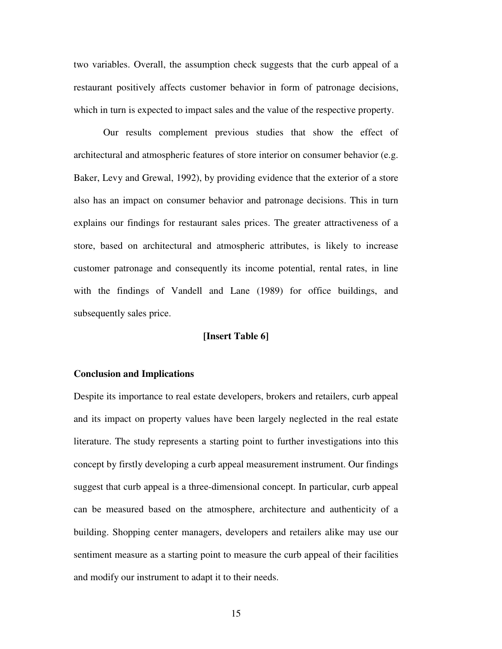two variables. Overall, the assumption check suggests that the curb appeal of a restaurant positively affects customer behavior in form of patronage decisions, which in turn is expected to impact sales and the value of the respective property.

Our results complement previous studies that show the effect of architectural and atmospheric features of store interior on consumer behavior (e.g. Baker, Levy and Grewal, 1992), by providing evidence that the exterior of a store also has an impact on consumer behavior and patronage decisions. This in turn explains our findings for restaurant sales prices. The greater attractiveness of a store, based on architectural and atmospheric attributes, is likely to increase customer patronage and consequently its income potential, rental rates, in line with the findings of Vandell and Lane (1989) for office buildings, and subsequently sales price.

## **[Insert Table 6]**

## **Conclusion and Implications**

Despite its importance to real estate developers, brokers and retailers, curb appeal and its impact on property values have been largely neglected in the real estate literature. The study represents a starting point to further investigations into this concept by firstly developing a curb appeal measurement instrument. Our findings suggest that curb appeal is a three-dimensional concept. In particular, curb appeal can be measured based on the atmosphere, architecture and authenticity of a building. Shopping center managers, developers and retailers alike may use our sentiment measure as a starting point to measure the curb appeal of their facilities and modify our instrument to adapt it to their needs.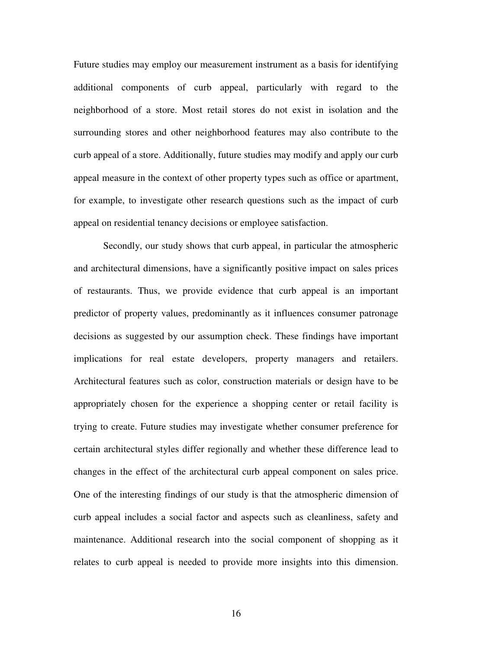Future studies may employ our measurement instrument as a basis for identifying additional components of curb appeal, particularly with regard to the neighborhood of a store. Most retail stores do not exist in isolation and the surrounding stores and other neighborhood features may also contribute to the curb appeal of a store. Additionally, future studies may modify and apply our curb appeal measure in the context of other property types such as office or apartment, for example, to investigate other research questions such as the impact of curb appeal on residential tenancy decisions or employee satisfaction.

Secondly, our study shows that curb appeal, in particular the atmospheric and architectural dimensions, have a significantly positive impact on sales prices of restaurants. Thus, we provide evidence that curb appeal is an important predictor of property values, predominantly as it influences consumer patronage decisions as suggested by our assumption check. These findings have important implications for real estate developers, property managers and retailers. Architectural features such as color, construction materials or design have to be appropriately chosen for the experience a shopping center or retail facility is trying to create. Future studies may investigate whether consumer preference for certain architectural styles differ regionally and whether these difference lead to changes in the effect of the architectural curb appeal component on sales price. One of the interesting findings of our study is that the atmospheric dimension of curb appeal includes a social factor and aspects such as cleanliness, safety and maintenance. Additional research into the social component of shopping as it relates to curb appeal is needed to provide more insights into this dimension.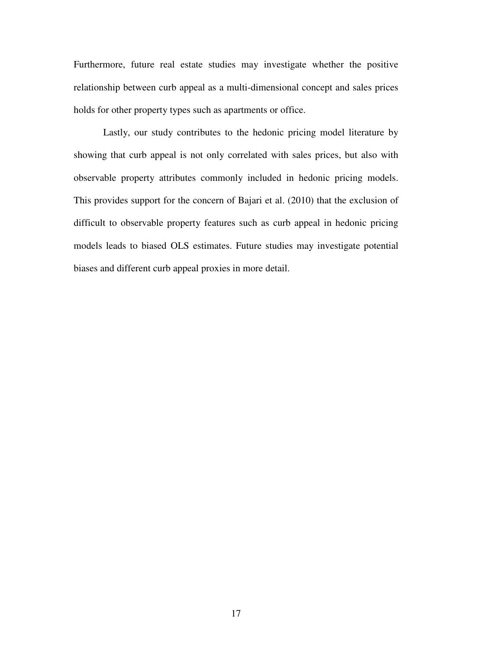Furthermore, future real estate studies may investigate whether the positive relationship between curb appeal as a multi-dimensional concept and sales prices holds for other property types such as apartments or office.

 Lastly, our study contributes to the hedonic pricing model literature by showing that curb appeal is not only correlated with sales prices, but also with observable property attributes commonly included in hedonic pricing models. This provides support for the concern of Bajari et al. (2010) that the exclusion of difficult to observable property features such as curb appeal in hedonic pricing models leads to biased OLS estimates. Future studies may investigate potential biases and different curb appeal proxies in more detail.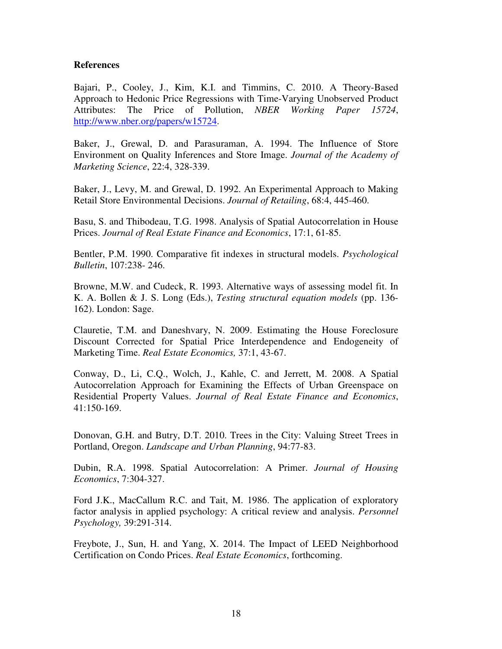## **References**

Bajari, P., Cooley, J., Kim, K.I. and Timmins, C. 2010. A Theory-Based Approach to Hedonic Price Regressions with Time-Varying Unobserved Product Attributes: The Price of Pollution, *NBER Working Paper 15724*, http://www.nber.org/papers/w15724.

Baker, J., Grewal, D. and Parasuraman, A. 1994. The Influence of Store Environment on Quality Inferences and Store Image. *Journal of the Academy of Marketing Science*, 22:4, 328-339.

Baker, J., Levy, M. and Grewal, D. 1992. An Experimental Approach to Making Retail Store Environmental Decisions. *Journal of Retailing*, 68:4, 445-460.

Basu, S. and Thibodeau, T.G. 1998. Analysis of Spatial Autocorrelation in House Prices. *Journal of Real Estate Finance and Economics*, 17:1, 61-85.

Bentler, P.M. 1990. Comparative fit indexes in structural models. *Psychological Bulletin*, 107:238- 246.

Browne, M.W. and Cudeck, R. 1993. Alternative ways of assessing model fit. In K. A. Bollen & J. S. Long (Eds.), *Testing structural equation models* (pp. 136- 162). London: Sage.

Clauretie, T.M. and Daneshvary, N. 2009. Estimating the House Foreclosure Discount Corrected for Spatial Price Interdependence and Endogeneity of Marketing Time. *Real Estate Economics,* 37:1, 43-67.

Conway, D., Li, C.Q., Wolch, J., Kahle, C. and Jerrett, M. 2008. A Spatial Autocorrelation Approach for Examining the Effects of Urban Greenspace on Residential Property Values. *Journal of Real Estate Finance and Economics*, 41:150-169.

Donovan, G.H. and Butry, D.T. 2010. Trees in the City: Valuing Street Trees in Portland, Oregon. *Landscape and Urban Planning*, 94:77-83.

Dubin, R.A. 1998. Spatial Autocorrelation: A Primer. *Journal of Housing Economics*, 7:304-327.

Ford J.K., MacCallum R.C. and Tait, M. 1986. The application of exploratory factor analysis in applied psychology: A critical review and analysis. *Personnel Psychology,* 39:291-314.

Freybote, J., Sun, H. and Yang, X. 2014. The Impact of LEED Neighborhood Certification on Condo Prices. *Real Estate Economics*, forthcoming.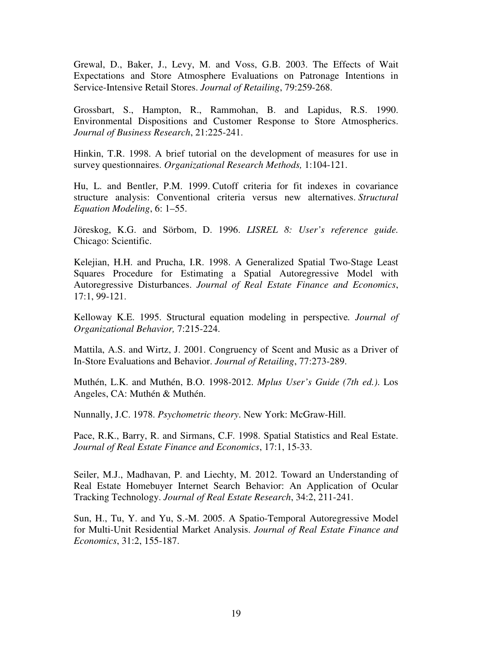Grewal, D., Baker, J., Levy, M. and Voss, G.B. 2003. The Effects of Wait Expectations and Store Atmosphere Evaluations on Patronage Intentions in Service-Intensive Retail Stores. *Journal of Retailing*, 79:259-268.

Grossbart, S., Hampton, R., Rammohan, B. and Lapidus, R.S. 1990. Environmental Dispositions and Customer Response to Store Atmospherics. *Journal of Business Research*, 21:225-241.

Hinkin, T.R. 1998. A brief tutorial on the development of measures for use in survey questionnaires. *Organizational Research Methods,* 1:104-121.

Hu, L. and Bentler, P.M. 1999. Cutoff criteria for fit indexes in covariance structure analysis: Conventional criteria versus new alternatives. *Structural Equation Modeling*, 6: 1–55.

Jöreskog, K.G. and Sörbom, D. 1996. *LISREL 8: User's reference guide.*  Chicago: Scientific.

Kelejian, H.H. and Prucha, I.R. 1998. A Generalized Spatial Two-Stage Least Squares Procedure for Estimating a Spatial Autoregressive Model with Autoregressive Disturbances. *Journal of Real Estate Finance and Economics*, 17:1, 99-121.

Kelloway K.E. 1995. Structural equation modeling in perspective*. Journal of Organizational Behavior,* 7:215-224.

Mattila, A.S. and Wirtz, J. 2001. Congruency of Scent and Music as a Driver of In-Store Evaluations and Behavior. *Journal of Retailing*, 77:273-289.

Muthén, L.K. and Muthén, B.O. 1998-2012. *Mplus User's Guide (7th ed.)*. Los Angeles, CA: Muthén & Muthén.

Nunnally, J.C. 1978. *Psychometric theory*. New York: McGraw-Hill.

Pace, R.K., Barry, R. and Sirmans, C.F. 1998. Spatial Statistics and Real Estate. *Journal of Real Estate Finance and Economics*, 17:1, 15-33.

Seiler, M.J., Madhavan, P. and Liechty, M. 2012. Toward an Understanding of Real Estate Homebuyer Internet Search Behavior: An Application of Ocular Tracking Technology. *Journal of Real Estate Research*, 34:2, 211-241.

Sun, H., Tu, Y. and Yu, S.-M. 2005. A Spatio-Temporal Autoregressive Model for Multi-Unit Residential Market Analysis. *Journal of Real Estate Finance and Economics*, 31:2, 155-187.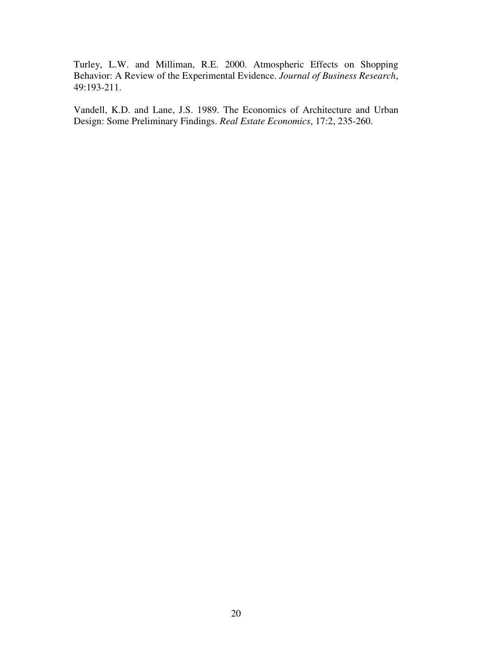Turley, L.W. and Milliman, R.E. 2000. Atmospheric Effects on Shopping Behavior: A Review of the Experimental Evidence. *Journal of Business Research*, 49:193-211.

Vandell, K.D. and Lane, J.S. 1989. The Economics of Architecture and Urban Design: Some Preliminary Findings. *Real Estate Economics*, 17:2, 235-260.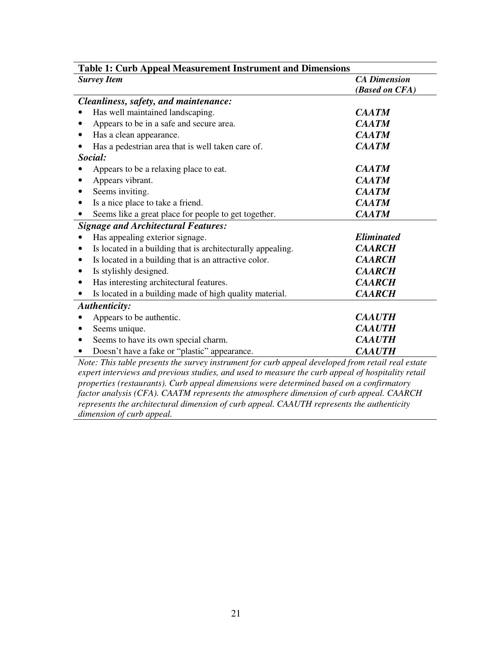| <b>Table 1: Curb Appeal Measurement Instrument and Dimensions</b> |                     |  |  |  |
|-------------------------------------------------------------------|---------------------|--|--|--|
| <b>Survey Item</b>                                                | <b>CA</b> Dimension |  |  |  |
|                                                                   | (Based on CFA)      |  |  |  |
| Cleanliness, safety, and maintenance:                             |                     |  |  |  |
| Has well maintained landscaping.                                  | CAATM               |  |  |  |
| Appears to be in a safe and secure area.                          | <b>CAATM</b>        |  |  |  |
| Has a clean appearance.                                           | <b>CAATM</b>        |  |  |  |
| Has a pedestrian area that is well taken care of.                 | <b>CAATM</b>        |  |  |  |
| Social:                                                           |                     |  |  |  |
| Appears to be a relaxing place to eat.                            | <b>CAATM</b>        |  |  |  |
| Appears vibrant.                                                  | <b>CAATM</b>        |  |  |  |
| Seems inviting.                                                   | <b>CAATM</b>        |  |  |  |
| Is a nice place to take a friend.                                 | <b>CAATM</b>        |  |  |  |
| Seems like a great place for people to get together.              | <b>CAATM</b>        |  |  |  |
| <b>Signage and Architectural Features:</b>                        |                     |  |  |  |
| Has appealing exterior signage.                                   | <b>Eliminated</b>   |  |  |  |
| Is located in a building that is architecturally appealing.       | <b>CAARCH</b>       |  |  |  |
| Is located in a building that is an attractive color.<br>٠        | <b>CAARCH</b>       |  |  |  |
| Is stylishly designed.<br>٠                                       | <b>CAARCH</b>       |  |  |  |
| Has interesting architectural features.                           | <b>CAARCH</b>       |  |  |  |
| Is located in a building made of high quality material.           | <b>CAARCH</b>       |  |  |  |
| <b>Authenticity:</b>                                              |                     |  |  |  |
| Appears to be authentic.                                          | <b>CAAUTH</b>       |  |  |  |
| Seems unique.                                                     | <b>CAAUTH</b>       |  |  |  |
| Seems to have its own special charm.                              | <b>CAAUTH</b>       |  |  |  |
| Doesn't have a fake or "plastic" appearance.                      | <b>CAAUTH</b>       |  |  |  |

*Note: This table presents the survey instrument for curb appeal developed from retail real estate expert interviews and previous studies, and used to measure the curb appeal of hospitality retail properties (restaurants). Curb appeal dimensions were determined based on a confirmatory factor analysis (CFA). CAATM represents the atmosphere dimension of curb appeal. CAARCH represents the architectural dimension of curb appeal. CAAUTH represents the authenticity dimension of curb appeal.*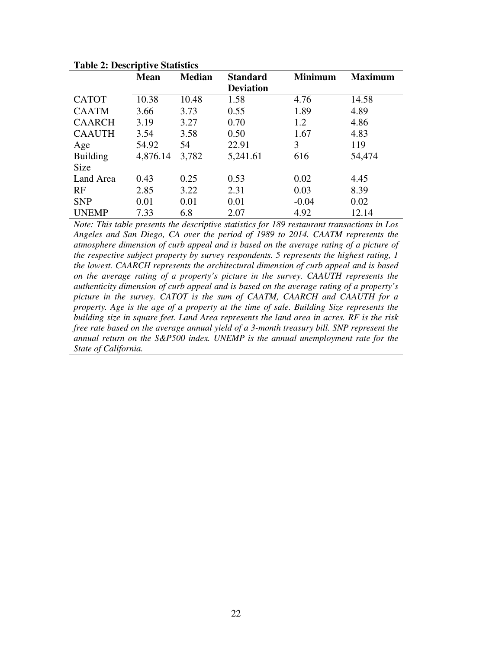| <b>Table 2: Descriptive Statistics</b> |             |               |                  |                |                |
|----------------------------------------|-------------|---------------|------------------|----------------|----------------|
|                                        | <b>Mean</b> | <b>Median</b> | <b>Standard</b>  | <b>Minimum</b> | <b>Maximum</b> |
|                                        |             |               | <b>Deviation</b> |                |                |
| <b>CATOT</b>                           | 10.38       | 10.48         | 1.58             | 4.76           | 14.58          |
| <b>CAATM</b>                           | 3.66        | 3.73          | 0.55             | 1.89           | 4.89           |
| <b>CAARCH</b>                          | 3.19        | 3.27          | 0.70             | 1.2            | 4.86           |
| <b>CAAUTH</b>                          | 3.54        | 3.58          | 0.50             | 1.67           | 4.83           |
| Age                                    | 54.92       | 54            | 22.91            | 3              | 119            |
| <b>Building</b>                        | 4,876.14    | 3,782         | 5,241.61         | 616            | 54,474         |
| <b>Size</b>                            |             |               |                  |                |                |
| Land Area                              | 0.43        | 0.25          | 0.53             | 0.02           | 4.45           |
| RF                                     | 2.85        | 3.22          | 2.31             | 0.03           | 8.39           |
| <b>SNP</b>                             | 0.01        | 0.01          | 0.01             | $-0.04$        | 0.02           |
| <b>UNEMP</b>                           | 7.33        | 6.8           | 2.07             | 4.92           | 12.14          |

*Note: This table presents the descriptive statistics for 189 restaurant transactions in Los Angeles and San Diego, CA over the period of 1989 to 2014. CAATM represents the atmosphere dimension of curb appeal and is based on the average rating of a picture of the respective subject property by survey respondents. 5 represents the highest rating, 1 the lowest. CAARCH represents the architectural dimension of curb appeal and is based on the average rating of a property's picture in the survey. CAAUTH represents the authenticity dimension of curb appeal and is based on the average rating of a property's picture in the survey. CATOT is the sum of CAATM, CAARCH and CAAUTH for a property. Age is the age of a property at the time of sale. Building Size represents the building size in square feet. Land Area represents the land area in acres. RF is the risk free rate based on the average annual yield of a 3-month treasury bill. SNP represent the annual return on the S&P500 index. UNEMP is the annual unemployment rate for the State of California.*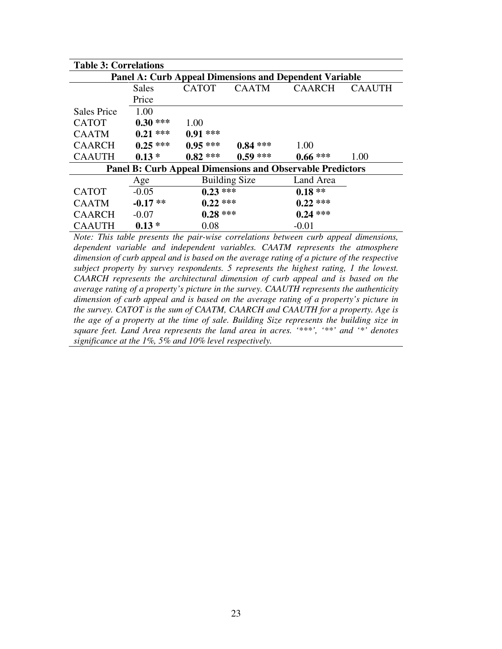| <b>Table 3: Correlations</b> |                                                               |              |                      |                                                                  |               |  |  |
|------------------------------|---------------------------------------------------------------|--------------|----------------------|------------------------------------------------------------------|---------------|--|--|
|                              | <b>Panel A: Curb Appeal Dimensions and Dependent Variable</b> |              |                      |                                                                  |               |  |  |
|                              | Sales                                                         | <b>CATOT</b> | <b>CAATM</b>         | <b>CAARCH</b>                                                    | <b>CAAUTH</b> |  |  |
|                              | Price                                                         |              |                      |                                                                  |               |  |  |
| <b>Sales Price</b>           | 1.00                                                          |              |                      |                                                                  |               |  |  |
| <b>CATOT</b>                 | $0.30***$                                                     | 1.00         |                      |                                                                  |               |  |  |
| <b>CAATM</b>                 | $0.21***$                                                     | $0.91$ ***   |                      |                                                                  |               |  |  |
| <b>CAARCH</b>                | $0.25***$                                                     | $0.95***$    | $0.84$ ***           | 1.00                                                             |               |  |  |
| <b>CAAUTH</b>                | $0.13*$                                                       | $0.82$ ***   | $0.59$ ***           | $0.66$ ***                                                       | 1.00          |  |  |
|                              |                                                               |              |                      | <b>Panel B: Curb Appeal Dimensions and Observable Predictors</b> |               |  |  |
|                              | Age                                                           |              | <b>Building Size</b> | Land Area                                                        |               |  |  |
| <b>CATOT</b>                 | $-0.05$                                                       | $0.23$ ***   |                      | $0.18**$                                                         |               |  |  |
| <b>CAATM</b>                 | $-0.17**$                                                     | $0.22$ ***   |                      | $0.22$ ***                                                       |               |  |  |
| <b>CAARCH</b>                | $-0.07$                                                       | $0.28$ ***   |                      | $0.24$ ***                                                       |               |  |  |
| <b>CAAUTH</b>                | $0.13*$                                                       | 0.08         |                      | $-0.01$                                                          |               |  |  |

*Note: This table presents the pair-wise correlations between curb appeal dimensions, dependent variable and independent variables. CAATM represents the atmosphere dimension of curb appeal and is based on the average rating of a picture of the respective subject property by survey respondents. 5 represents the highest rating, 1 the lowest. CAARCH represents the architectural dimension of curb appeal and is based on the average rating of a property's picture in the survey. CAAUTH represents the authenticity dimension of curb appeal and is based on the average rating of a property's picture in the survey. CATOT is the sum of CAATM, CAARCH and CAAUTH for a property. Age is the age of a property at the time of sale. Building Size represents the building size in square feet. Land Area represents the land area in acres. '\*\*\*', '\*\*' and '\*' denotes significance at the 1%, 5% and 10% level respectively.*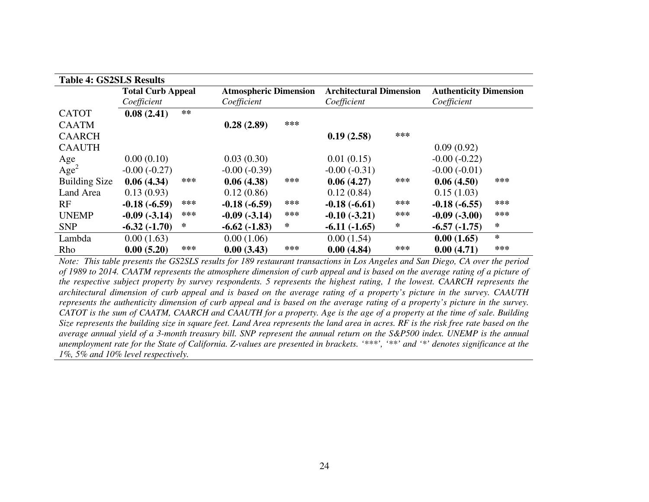| <b>Table 4: GS2SLS Results</b> |                          |      |                              |     |                                |     |                               |     |
|--------------------------------|--------------------------|------|------------------------------|-----|--------------------------------|-----|-------------------------------|-----|
|                                | <b>Total Curb Appeal</b> |      | <b>Atmospheric Dimension</b> |     | <b>Architectural Dimension</b> |     | <b>Authenticity Dimension</b> |     |
|                                | Coefficient              |      | Coefficient                  |     | Coefficient                    |     | Coefficient                   |     |
| <b>CATOT</b>                   | 0.08(2.41)               | $**$ |                              |     |                                |     |                               |     |
| <b>CAATM</b>                   |                          |      | 0.28(2.89)                   | *** |                                |     |                               |     |
| <b>CAARCH</b>                  |                          |      |                              |     | 0.19(2.58)                     | *** |                               |     |
| <b>CAAUTH</b>                  |                          |      |                              |     |                                |     | 0.09(0.92)                    |     |
| Age                            | 0.00(0.10)               |      | 0.03(0.30)                   |     | 0.01(0.15)                     |     | $-0.00(-0.22)$                |     |
| Age <sup>2</sup>               | $-0.00(-0.27)$           |      | $-0.00(-0.39)$               |     | $-0.00(-0.31)$                 |     | $-0.00(-0.01)$                |     |
| <b>Building Size</b>           | 0.06(4.34)               | ***  | 0.06(4.38)                   | *** | 0.06(4.27)                     | *** | 0.06(4.50)                    | *** |
| Land Area                      | 0.13(0.93)               |      | 0.12(0.86)                   |     | 0.12(0.84)                     |     | 0.15(1.03)                    |     |
| RF                             | $-0.18(-6.59)$           | ***  | $-0.18(-6.59)$               | *** | $-0.18(-6.61)$                 | *** | $-0.18(-6.55)$                | *** |
| <b>UNEMP</b>                   | $-0.09(-3.14)$           | ***  | $-0.09(-3.14)$               | *** | $-0.10(-3.21)$                 | *** | $-0.09(-3.00)$                | *** |
| <b>SNP</b>                     | $-6.32(-1.70)$           | ∗    | $-6.62(-1.83)$               | ∗   | $-6.11(-1.65)$                 | ∗   | $-6.57(-1.75)$                | ∗   |
| Lambda                         | 0.00(1.63)               |      | 0.00(1.06)                   |     | 0.00(1.54)                     |     | 0.00(1.65)                    | ∗   |
| Rho                            | 0.00(5.20)               | ***  | 0.00(3.43)                   | *** | 0.00(4.84)                     | *** | 0.00(4.71)                    | *** |

 *Note: This table presents the GS2SLS results for 189 restaurant transactions in Los Angeles and San Diego, CA over the period of 1989 to 2014. CAATM represents the atmosphere dimension of curb appeal and is based on the average rating of a picture of the respective subject property by survey respondents. 5 represents the highest rating, 1 the lowest. CAARCH represents the architectural dimension of curb appeal and is based on the average rating of a property's picture in the survey. CAAUTH represents the authenticity dimension of curb appeal and is based on the average rating of a property's picture in the survey. CATOT is the sum of CAATM, CAARCH and CAAUTH for a property. Age is the age of a property at the time of sale. Building Size represents the building size in square feet. Land Area represents the land area in acres. RF is the risk free rate based on the average annual yield of a 3-month treasury bill. SNP represent the annual return on the S&P500 index. UNEMP is the annual unemployment rate for the State of California. Z-values are presented in brackets. '\*\*\*', '\*\*' and '\*' denotes significance at the 1%, 5% and 10% level respectively.*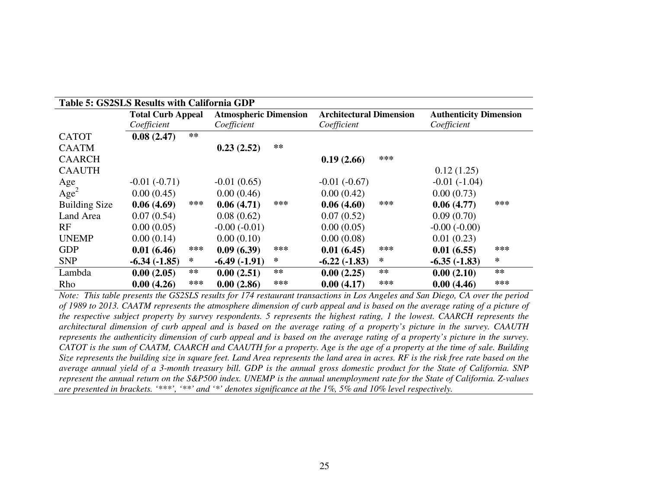| Table 5: GS2SLS Results with California GDP |                          |     |                              |       |                                |     |                               |     |
|---------------------------------------------|--------------------------|-----|------------------------------|-------|--------------------------------|-----|-------------------------------|-----|
|                                             | <b>Total Curb Appeal</b> |     | <b>Atmospheric Dimension</b> |       | <b>Architectural Dimension</b> |     | <b>Authenticity Dimension</b> |     |
|                                             | Coefficient              |     | Coefficient                  |       | Coefficient                    |     | Coefficient                   |     |
| <b>CATOT</b>                                | 0.08(2.47)               | **  |                              |       |                                |     |                               |     |
| <b>CAATM</b>                                |                          |     | 0.23(2.52)                   | $***$ |                                |     |                               |     |
| <b>CAARCH</b>                               |                          |     |                              |       | 0.19(2.66)                     | *** |                               |     |
| <b>CAAUTH</b>                               |                          |     |                              |       |                                |     | 0.12(1.25)                    |     |
| Age                                         | $-0.01(-0.71)$           |     | $-0.01(0.65)$                |       | $-0.01(-0.67)$                 |     | $-0.01(-1.04)$                |     |
| Age <sup>2</sup>                            | 0.00(0.45)               |     | 0.00(0.46)                   |       | 0.00(0.42)                     |     | 0.00(0.73)                    |     |
| <b>Building Size</b>                        | 0.06(4.69)               | *** | 0.06(4.71)                   | ***   | 0.06(4.60)                     | *** | 0.06(4.77)                    | *** |
| Land Area                                   | 0.07(0.54)               |     | 0.08(0.62)                   |       | 0.07(0.52)                     |     | 0.09(0.70)                    |     |
| RF                                          | 0.00(0.05)               |     | $-0.00(-0.01)$               |       | 0.00(0.05)                     |     | $-0.00(-0.00)$                |     |
| <b>UNEMP</b>                                | 0.00(0.14)               |     | 0.00(0.10)                   |       | 0.00(0.08)                     |     | 0.01(0.23)                    |     |
| <b>GDP</b>                                  | 0.01(6.46)               | *** | 0.09(6.39)                   | ***   | 0.01(6.45)                     | *** | 0.01(6.55)                    | *** |
| <b>SNP</b>                                  | $-6.34(-1.85)$           | ∗   | $-6.49(-1.91)$               | ∗     | $-6.22(-1.83)$                 | ∗   | $-6.35(-1.83)$                | ∗   |
| Lambda                                      | 0.00(2.05)               | **  | 0.00(2.51)                   | $***$ | 0.00(2.25)                     | **  | 0.00(2.10)                    | **  |
| Rho                                         | 0.00(4.26)               | *** | 0.00(2.86)                   | ***   | 0.00(4.17)                     | *** | 0.00(4.46)                    | *** |

 *Note: This table presents the GS2SLS results for 174 restaurant transactions in Los Angeles and San Diego, CA over the period of 1989 to 2013. CAATM represents the atmosphere dimension of curb appeal and is based on the average rating of a picture of the respective subject property by survey respondents. 5 represents the highest rating, 1 the lowest. CAARCH represents the architectural dimension of curb appeal and is based on the average rating of a property's picture in the survey. CAAUTH represents the authenticity dimension of curb appeal and is based on the average rating of a property's picture in the survey. CATOT is the sum of CAATM, CAARCH and CAAUTH for a property. Age is the age of a property at the time of sale. Building Size represents the building size in square feet. Land Area represents the land area in acres. RF is the risk free rate based on the average annual yield of a 3-month treasury bill. GDP is the annual gross domestic product for the State of California. SNP represent the annual return on the S&P500 index. UNEMP is the annual unemployment rate for the State of California. Z-values are presented in brackets. '\*\*\*', '\*\*' and '\*' denotes significance at the 1%, 5% and 10% level respectively.*